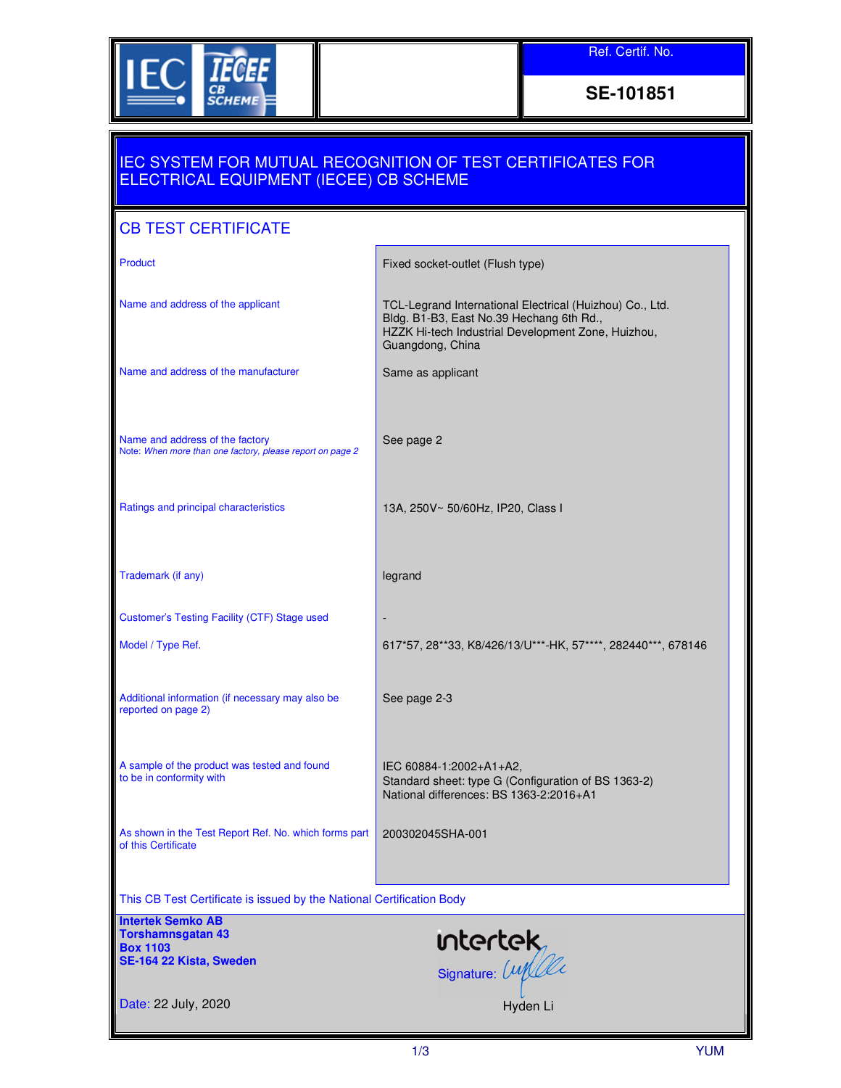

**SE-101851** 

## IEC SYSTEM FOR MUTUAL RECOGNITION OF TEST CERTIFICATES FOR ELECTRICAL EQUIPMENT (IECEE) CB SCHEME

## CB TEST CERTIFICATE

| Product                                                                                      | Fixed socket-outlet (Flush type)                                                                                                                                               |  |  |
|----------------------------------------------------------------------------------------------|--------------------------------------------------------------------------------------------------------------------------------------------------------------------------------|--|--|
| Name and address of the applicant                                                            | TCL-Legrand International Electrical (Huizhou) Co., Ltd.<br>Bldg. B1-B3, East No.39 Hechang 6th Rd.,<br>HZZK Hi-tech Industrial Development Zone, Huizhou,<br>Guangdong, China |  |  |
| Name and address of the manufacturer                                                         | Same as applicant                                                                                                                                                              |  |  |
| Name and address of the factory<br>Note: When more than one factory, please report on page 2 | See page 2                                                                                                                                                                     |  |  |
| Ratings and principal characteristics                                                        | 13A, 250V~ 50/60Hz, IP20, Class I                                                                                                                                              |  |  |
| Trademark (if any)                                                                           | legrand                                                                                                                                                                        |  |  |
| Customer's Testing Facility (CTF) Stage used                                                 |                                                                                                                                                                                |  |  |
| Model / Type Ref.                                                                            | 617*57, 28**33, K8/426/13/U***-HK, 57****, 282440***, 678146                                                                                                                   |  |  |
| Additional information (if necessary may also be<br>reported on page 2)                      | See page 2-3                                                                                                                                                                   |  |  |
| A sample of the product was tested and found<br>to be in conformity with                     | IEC 60884-1:2002+A1+A2,<br>Standard sheet: type G (Configuration of BS 1363-2)<br>National differences: BS 1363-2:2016+A1                                                      |  |  |
| As shown in the Test Report Ref. No. which forms part<br>of this Certificate                 | 200302045SHA-001                                                                                                                                                               |  |  |
| This CB Test Certificate is issued by the National Certification Body                        |                                                                                                                                                                                |  |  |
| <b>Intertek Semko AB</b><br><b>Torshamnsgatan 43</b>                                         |                                                                                                                                                                                |  |  |
| <b>Box 1103</b><br>SE-164 22 Kista, Sweden                                                   | <b>Intertek</b><br>Signature: <i>Lupelle</i>                                                                                                                                   |  |  |
| Date: 22 July, 2020                                                                          | Hyden Li                                                                                                                                                                       |  |  |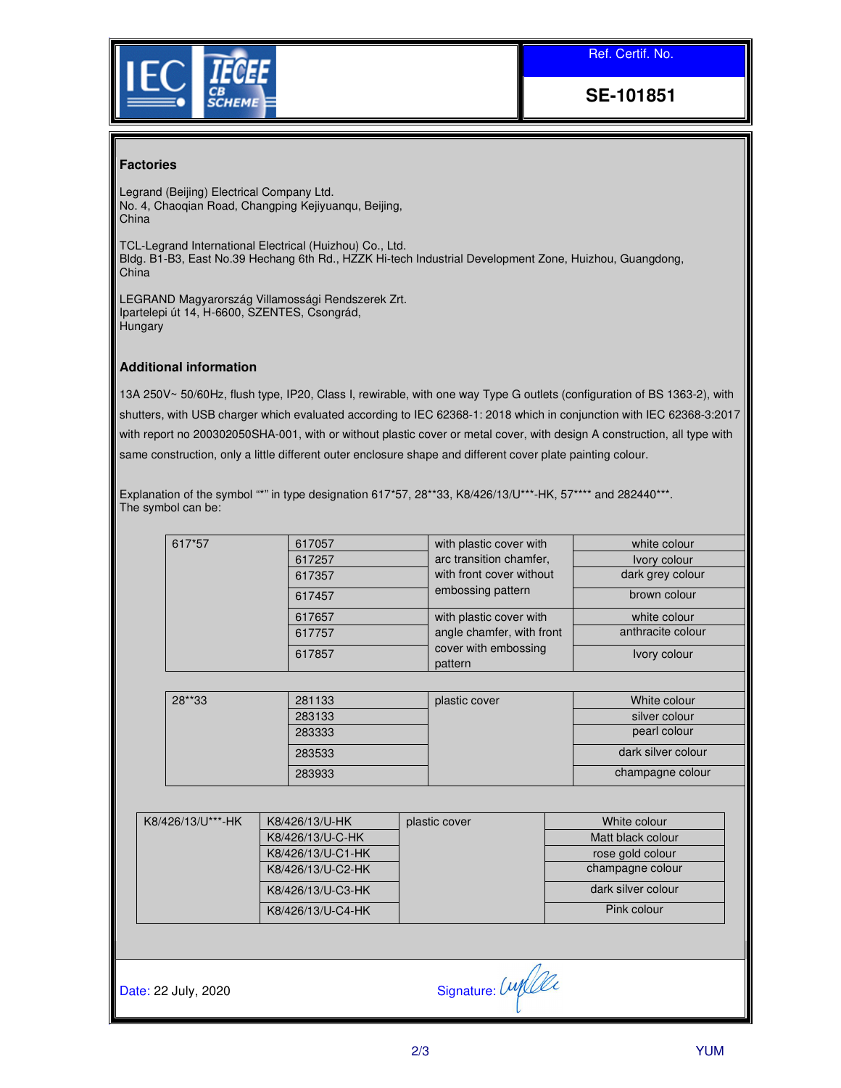Ref. Certif. No.



**SE-101851** 

## **Factories**

Legrand (Beijing) Electrical Company Ltd. No. 4, Chaoqian Road, Changping Kejiyuanqu, Beijing, China

TCL-Legrand International Electrical (Huizhou) Co., Ltd. Bldg. B1-B3, East No.39 Hechang 6th Rd., HZZK Hi-tech Industrial Development Zone, Huizhou, Guangdong, China

LEGRAND Magyarország Villamossági Rendszerek Zrt. Ipartelepi út 14, H-6600, SZENTES, Csongrád, **Hungary** 

## **Additional information**

13A 250V~ 50/60Hz, flush type, IP20, Class I, rewirable, with one way Type G outlets (configuration of BS 1363-2), with shutters, with USB charger which evaluated according to IEC 62368-1: 2018 which in conjunction with IEC 62368-3:2017 with report no 200302050SHA-001, with or without plastic cover or metal cover, with design A construction, all type with same construction, only a little different outer enclosure shape and different cover plate painting colour.

Explanation of the symbol "\*" in type designation 617\*57, 28\*\*33, K8/426/13/U\*\*\*-HK, 57\*\*\*\* and 282440\*\*\*. The symbol can be:

|                                                             |                   | 617057            |                         |                                                              | white colour       |  |
|-------------------------------------------------------------|-------------------|-------------------|-------------------------|--------------------------------------------------------------|--------------------|--|
| 617*57                                                      |                   |                   |                         | with plastic cover with                                      |                    |  |
|                                                             |                   | 617257            | arc transition chamfer, |                                                              | Ivory colour       |  |
|                                                             | 617357            |                   |                         | with front cover without                                     | dark grey colour   |  |
|                                                             |                   | 617457            |                         | embossing pattern                                            | brown colour       |  |
|                                                             |                   | 617657            |                         | with plastic cover with                                      | white colour       |  |
|                                                             |                   | 617757            |                         | angle chamfer, with front<br>cover with embossing<br>pattern | anthracite colour  |  |
|                                                             |                   | 617857            |                         |                                                              | Ivory colour       |  |
|                                                             |                   |                   |                         |                                                              |                    |  |
|                                                             | 28**33            | 281133            | plastic cover           |                                                              | White colour       |  |
|                                                             |                   | 283133            |                         |                                                              | silver colour      |  |
|                                                             |                   | 283333            |                         |                                                              | pearl colour       |  |
|                                                             |                   | 283533            |                         |                                                              | dark silver colour |  |
|                                                             |                   | 283933            |                         |                                                              | champagne colour   |  |
|                                                             |                   |                   |                         |                                                              |                    |  |
|                                                             | K8/426/13/U***-HK | K8/426/13/U-HK    |                         | plastic cover                                                | White colour       |  |
|                                                             |                   | K8/426/13/U-C-HK  |                         |                                                              | Matt black colour  |  |
|                                                             |                   | K8/426/13/U-C1-HK |                         |                                                              | rose gold colour   |  |
| K8/426/13/U-C2-HK<br>K8/426/13/U-C3-HK<br>K8/426/13/U-C4-HK |                   |                   |                         |                                                              | champagne colour   |  |
|                                                             |                   |                   |                         |                                                              | dark silver colour |  |
|                                                             |                   |                   |                         | Pink colour                                                  |                    |  |
|                                                             |                   |                   |                         |                                                              |                    |  |
|                                                             |                   |                   |                         |                                                              |                    |  |
|                                                             |                   |                   |                         |                                                              |                    |  |
| Date: 22 July, 2020                                         |                   |                   | Signature: Unfle        |                                                              |                    |  |
|                                                             |                   |                   |                         |                                                              |                    |  |